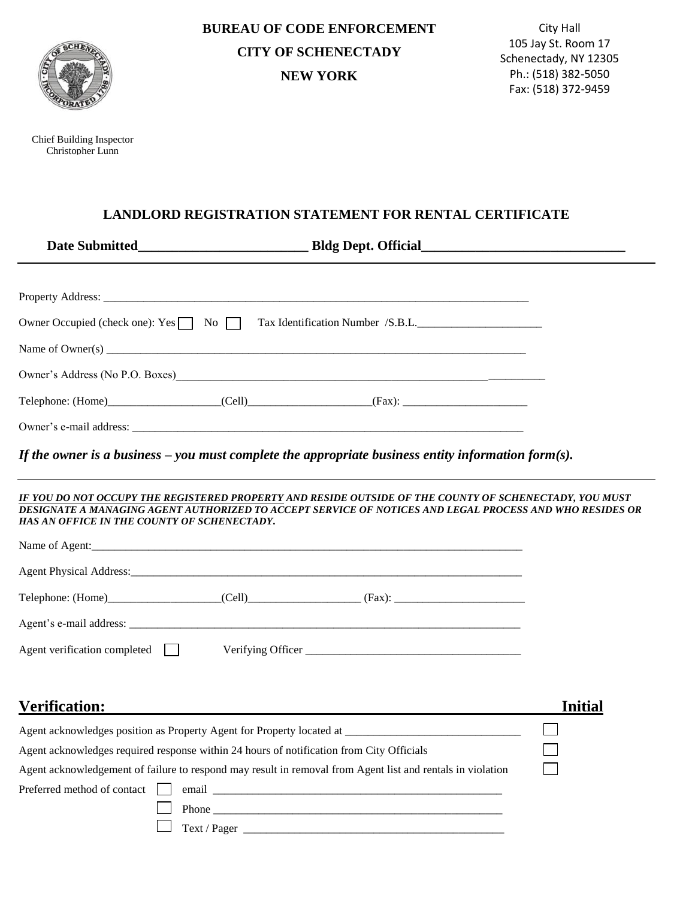

Chief Building Inspector Christopher Lunn

**BUREAU OF CODE ENFORCEMENT CITY OF SCHENECTADY NEW YORK**

 Schenectady, NY 12305 City Hall 105 Jay St. Room 17 Ph.: (518) 382-5050 Fax: (518) 372-9459

## **LANDLORD REGISTRATION STATEMENT FOR RENTAL CERTIFICATE**

|                                                                                          | Owner Occupied (check one): Yes \[ No \[ Tax Identification Number /S.B.L.                                                                                                                                        |                |
|------------------------------------------------------------------------------------------|-------------------------------------------------------------------------------------------------------------------------------------------------------------------------------------------------------------------|----------------|
|                                                                                          |                                                                                                                                                                                                                   |                |
|                                                                                          | Owner's Address (No P.O. Boxes)<br><u>Land Communication</u>                                                                                                                                                      |                |
|                                                                                          |                                                                                                                                                                                                                   |                |
|                                                                                          |                                                                                                                                                                                                                   |                |
|                                                                                          | If the owner is a business – you must complete the appropriate business entity information form(s).                                                                                                               |                |
| HAS AN OFFICE IN THE COUNTY OF SCHENECTADY.                                              | IF YOU DO NOT OCCUPY THE REGISTERED PROPERTY AND RESIDE OUTSIDE OF THE COUNTY OF SCHENECTADY, YOU MUST<br>DESIGNATE A MANAGING AGENT AUTHORIZED TO ACCEPT SERVICE OF NOTICES AND LEGAL PROCESS AND WHO RESIDES OR |                |
|                                                                                          |                                                                                                                                                                                                                   |                |
|                                                                                          |                                                                                                                                                                                                                   |                |
|                                                                                          |                                                                                                                                                                                                                   |                |
|                                                                                          |                                                                                                                                                                                                                   |                |
| Agent verification completed $\Box$                                                      |                                                                                                                                                                                                                   |                |
|                                                                                          |                                                                                                                                                                                                                   |                |
| <b>Verification:</b>                                                                     |                                                                                                                                                                                                                   | <b>Initial</b> |
|                                                                                          | Agent acknowledges position as Property Agent for Property located at                                                                                                                                             |                |
| Agent acknowledges required response within 24 hours of notification from City Officials |                                                                                                                                                                                                                   |                |
|                                                                                          | Agent acknowledgement of failure to respond may result in removal from Agent list and rentals in violation                                                                                                        |                |
| Preferred method of contact                                                              |                                                                                                                                                                                                                   |                |
|                                                                                          |                                                                                                                                                                                                                   |                |
|                                                                                          |                                                                                                                                                                                                                   |                |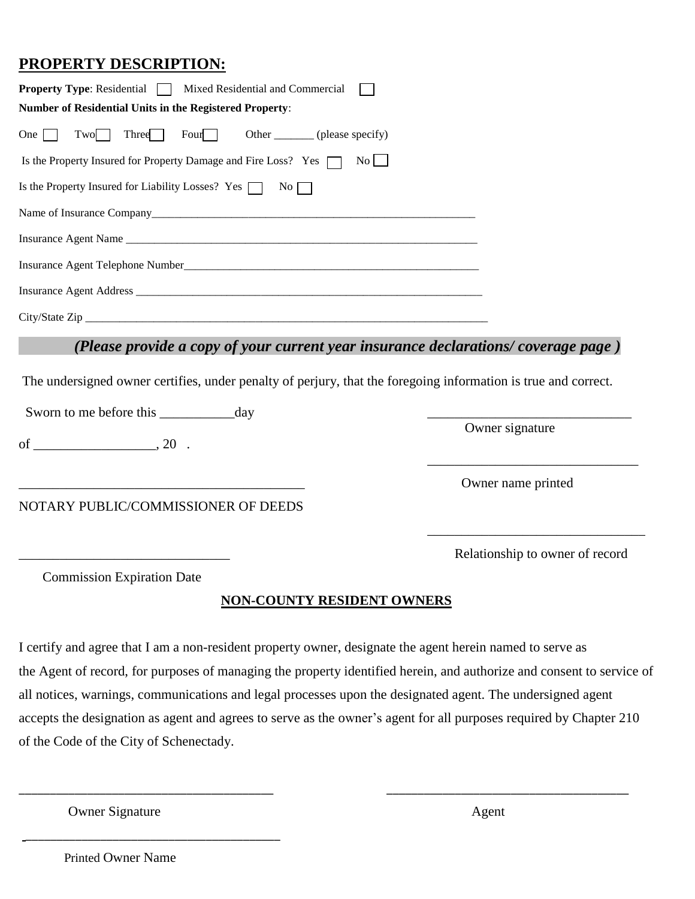## **PROPERTY DESCRIPTION:**

| <b>Property Type:</b> Residential $\Box$<br>Mixed Residential and Commercial                                   |                                 |
|----------------------------------------------------------------------------------------------------------------|---------------------------------|
| Number of Residential Units in the Registered Property:                                                        |                                 |
| Tw0<br>Three <sup>1</sup><br>Four<br>Other _________ (please specify)<br>One                                   |                                 |
| Is the Property Insured for Property Damage and Fire Loss? Yes<br>$\vert$ No $\vert$ $\vert$                   |                                 |
| Is the Property Insured for Liability Losses? Yes $\Box$ No                                                    |                                 |
|                                                                                                                |                                 |
|                                                                                                                |                                 |
|                                                                                                                |                                 |
|                                                                                                                |                                 |
|                                                                                                                |                                 |
| (Please provide a copy of your current year insurance declarations/coverage page)                              |                                 |
| The undersigned owner certifies, under penalty of perjury, that the foregoing information is true and correct. |                                 |
|                                                                                                                |                                 |
|                                                                                                                | Owner signature                 |
|                                                                                                                | Owner name printed              |
| NOTARY PUBLIC/COMMISSIONER OF DEEDS                                                                            |                                 |
|                                                                                                                | Relationship to owner of record |
| <b>Commission Expiration Date</b>                                                                              |                                 |
| <b>NON-COUNTY RESIDENT OWNERS</b>                                                                              |                                 |

I certify and agree that I am a non-resident property owner, designate the agent herein named to serve as the Agent of record, for purposes of managing the property identified herein, and authorize and consent to service of all notices, warnings, communications and legal processes upon the designated agent. The undersigned agent accepts the designation as agent and agrees to serve as the owner's agent for all purposes required by Chapter 210 of the Code of the City of Schenectady.

\_\_\_\_\_\_\_\_\_\_\_\_\_\_\_\_\_\_\_\_\_\_\_\_\_\_\_\_\_\_\_\_\_\_\_\_\_\_\_\_\_ \_\_\_\_\_\_\_\_\_\_\_\_\_\_\_\_\_\_\_\_\_\_\_\_\_\_\_\_\_\_\_\_\_\_\_\_\_\_\_

Owner Signature Agent

Printed Owner Name

\_\_\_\_\_\_\_\_\_\_\_\_\_\_\_\_\_\_\_\_\_\_\_\_\_\_\_\_\_\_\_\_\_\_\_\_\_\_\_\_\_